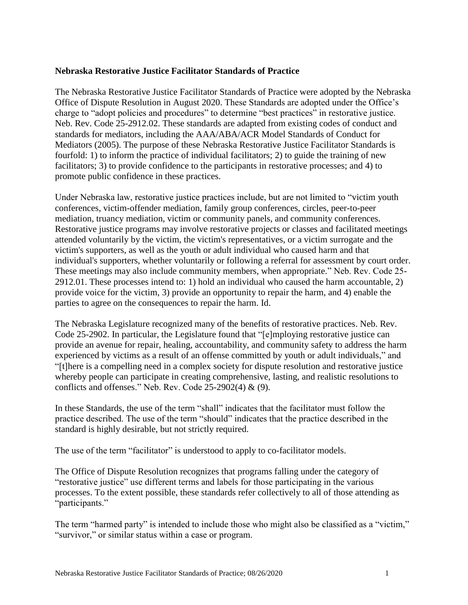#### **Nebraska Restorative Justice Facilitator Standards of Practice**

The Nebraska Restorative Justice Facilitator Standards of Practice were adopted by the Nebraska Office of Dispute Resolution in August 2020. These Standards are adopted under the Office's charge to "adopt policies and procedures" to determine "best practices" in restorative justice. Neb. Rev. Code 25-2912.02. These standards are adapted from existing codes of conduct and standards for mediators, including the AAA/ABA/ACR Model Standards of Conduct for Mediators (2005). The purpose of these Nebraska Restorative Justice Facilitator Standards is fourfold: 1) to inform the practice of individual facilitators; 2) to guide the training of new facilitators; 3) to provide confidence to the participants in restorative processes; and 4) to promote public confidence in these practices.

Under Nebraska law, restorative justice practices include, but are not limited to "victim youth conferences, victim-offender mediation, family group conferences, circles, peer-to-peer mediation, truancy mediation, victim or community panels, and community conferences. Restorative justice programs may involve restorative projects or classes and facilitated meetings attended voluntarily by the victim, the victim's representatives, or a victim surrogate and the victim's supporters, as well as the youth or adult individual who caused harm and that individual's supporters, whether voluntarily or following a referral for assessment by court order. These meetings may also include community members, when appropriate." Neb. Rev. Code 25- 2912.01. These processes intend to: 1) hold an individual who caused the harm accountable, 2) provide voice for the victim, 3) provide an opportunity to repair the harm, and 4) enable the parties to agree on the consequences to repair the harm. Id.

The Nebraska Legislature recognized many of the benefits of restorative practices. Neb. Rev. Code 25-2902. In particular, the Legislature found that "[e]mploying restorative justice can provide an avenue for repair, healing, accountability, and community safety to address the harm experienced by victims as a result of an offense committed by youth or adult individuals," and "[t]here is a compelling need in a complex society for dispute resolution and restorative justice whereby people can participate in creating comprehensive, lasting, and realistic resolutions to conflicts and offenses." Neb. Rev. Code  $25-2902(4)$  & (9).

In these Standards, the use of the term "shall" indicates that the facilitator must follow the practice described. The use of the term "should" indicates that the practice described in the standard is highly desirable, but not strictly required.

The use of the term "facilitator" is understood to apply to co-facilitator models.

The Office of Dispute Resolution recognizes that programs falling under the category of "restorative justice" use different terms and labels for those participating in the various processes. To the extent possible, these standards refer collectively to all of those attending as "participants."

The term "harmed party" is intended to include those who might also be classified as a "victim," "survivor," or similar status within a case or program.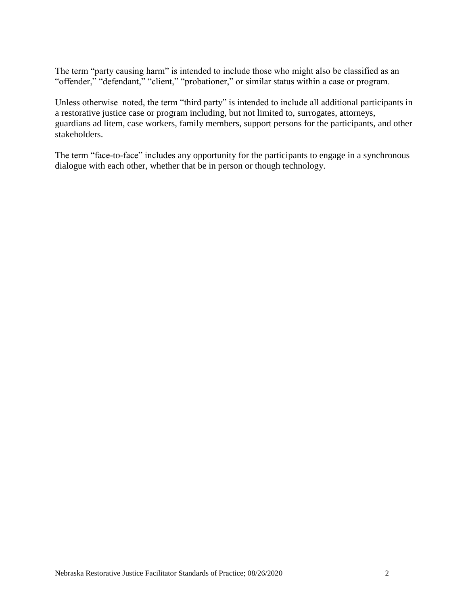The term "party causing harm" is intended to include those who might also be classified as an "offender," "defendant," "client," "probationer," or similar status within a case or program.

Unless otherwise noted, the term "third party" is intended to include all additional participants in a restorative justice case or program including, but not limited to, surrogates, attorneys, guardians ad litem, case workers, family members, support persons for the participants, and other stakeholders.

The term "face-to-face" includes any opportunity for the participants to engage in a synchronous dialogue with each other, whether that be in person or though technology.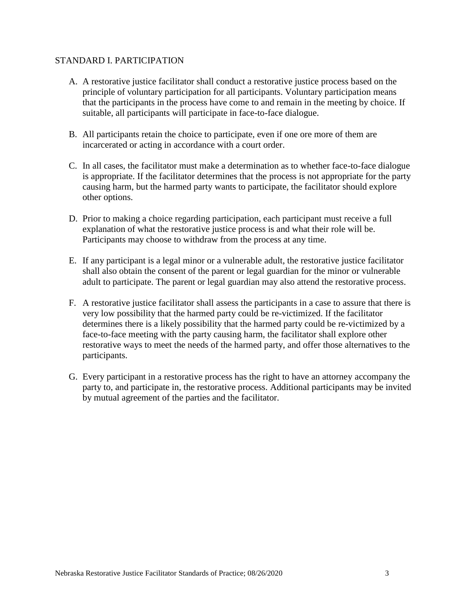#### STANDARD I. PARTICIPATION

- A. A restorative justice facilitator shall conduct a restorative justice process based on the principle of voluntary participation for all participants. Voluntary participation means that the participants in the process have come to and remain in the meeting by choice. If suitable, all participants will participate in face-to-face dialogue.
- B. All participants retain the choice to participate, even if one ore more of them are incarcerated or acting in accordance with a court order.
- C. In all cases, the facilitator must make a determination as to whether face-to-face dialogue is appropriate. If the facilitator determines that the process is not appropriate for the party causing harm, but the harmed party wants to participate, the facilitator should explore other options.
- D. Prior to making a choice regarding participation, each participant must receive a full explanation of what the restorative justice process is and what their role will be. Participants may choose to withdraw from the process at any time.
- E. If any participant is a legal minor or a vulnerable adult, the restorative justice facilitator shall also obtain the consent of the parent or legal guardian for the minor or vulnerable adult to participate. The parent or legal guardian may also attend the restorative process.
- F. A restorative justice facilitator shall assess the participants in a case to assure that there is very low possibility that the harmed party could be re-victimized. If the facilitator determines there is a likely possibility that the harmed party could be re-victimized by a face-to-face meeting with the party causing harm, the facilitator shall explore other restorative ways to meet the needs of the harmed party, and offer those alternatives to the participants.
- G. Every participant in a restorative process has the right to have an attorney accompany the party to, and participate in, the restorative process. Additional participants may be invited by mutual agreement of the parties and the facilitator.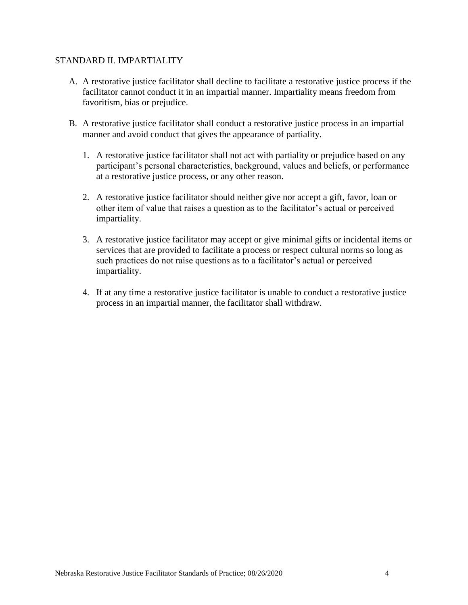### STANDARD II. IMPARTIALITY

- A. A restorative justice facilitator shall decline to facilitate a restorative justice process if the facilitator cannot conduct it in an impartial manner. Impartiality means freedom from favoritism, bias or prejudice.
- B. A restorative justice facilitator shall conduct a restorative justice process in an impartial manner and avoid conduct that gives the appearance of partiality.
	- 1. A restorative justice facilitator shall not act with partiality or prejudice based on any participant's personal characteristics, background, values and beliefs, or performance at a restorative justice process, or any other reason.
	- 2. A restorative justice facilitator should neither give nor accept a gift, favor, loan or other item of value that raises a question as to the facilitator's actual or perceived impartiality.
	- 3. A restorative justice facilitator may accept or give minimal gifts or incidental items or services that are provided to facilitate a process or respect cultural norms so long as such practices do not raise questions as to a facilitator's actual or perceived impartiality.
	- 4. If at any time a restorative justice facilitator is unable to conduct a restorative justice process in an impartial manner, the facilitator shall withdraw.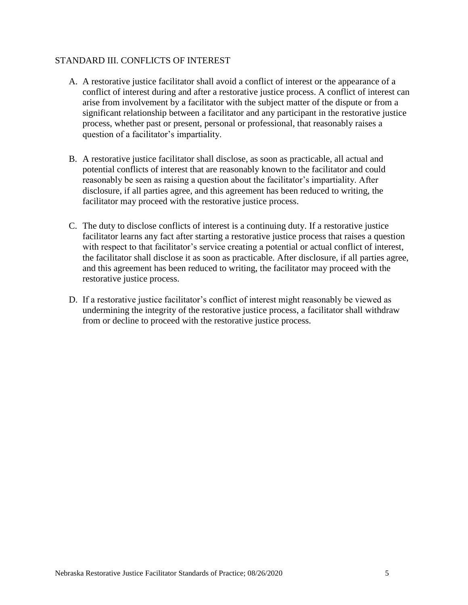### STANDARD III. CONFLICTS OF INTEREST

- A. A restorative justice facilitator shall avoid a conflict of interest or the appearance of a conflict of interest during and after a restorative justice process. A conflict of interest can arise from involvement by a facilitator with the subject matter of the dispute or from a significant relationship between a facilitator and any participant in the restorative justice process, whether past or present, personal or professional, that reasonably raises a question of a facilitator's impartiality.
- B. A restorative justice facilitator shall disclose, as soon as practicable, all actual and potential conflicts of interest that are reasonably known to the facilitator and could reasonably be seen as raising a question about the facilitator's impartiality. After disclosure, if all parties agree, and this agreement has been reduced to writing, the facilitator may proceed with the restorative justice process.
- C. The duty to disclose conflicts of interest is a continuing duty. If a restorative justice facilitator learns any fact after starting a restorative justice process that raises a question with respect to that facilitator's service creating a potential or actual conflict of interest, the facilitator shall disclose it as soon as practicable. After disclosure, if all parties agree, and this agreement has been reduced to writing, the facilitator may proceed with the restorative justice process.
- D. If a restorative justice facilitator's conflict of interest might reasonably be viewed as undermining the integrity of the restorative justice process, a facilitator shall withdraw from or decline to proceed with the restorative justice process.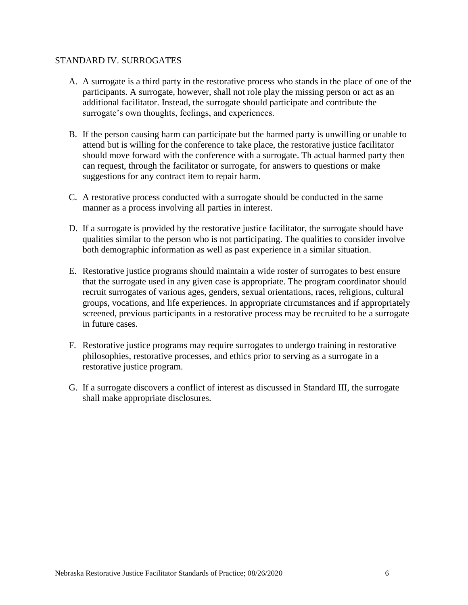### STANDARD IV. SURROGATES

- A. A surrogate is a third party in the restorative process who stands in the place of one of the participants. A surrogate, however, shall not role play the missing person or act as an additional facilitator. Instead, the surrogate should participate and contribute the surrogate's own thoughts, feelings, and experiences.
- B. If the person causing harm can participate but the harmed party is unwilling or unable to attend but is willing for the conference to take place, the restorative justice facilitator should move forward with the conference with a surrogate. Th actual harmed party then can request, through the facilitator or surrogate, for answers to questions or make suggestions for any contract item to repair harm.
- C. A restorative process conducted with a surrogate should be conducted in the same manner as a process involving all parties in interest.
- D. If a surrogate is provided by the restorative justice facilitator, the surrogate should have qualities similar to the person who is not participating. The qualities to consider involve both demographic information as well as past experience in a similar situation.
- E. Restorative justice programs should maintain a wide roster of surrogates to best ensure that the surrogate used in any given case is appropriate. The program coordinator should recruit surrogates of various ages, genders, sexual orientations, races, religions, cultural groups, vocations, and life experiences. In appropriate circumstances and if appropriately screened, previous participants in a restorative process may be recruited to be a surrogate in future cases.
- F. Restorative justice programs may require surrogates to undergo training in restorative philosophies, restorative processes, and ethics prior to serving as a surrogate in a restorative justice program.
- G. If a surrogate discovers a conflict of interest as discussed in Standard III, the surrogate shall make appropriate disclosures.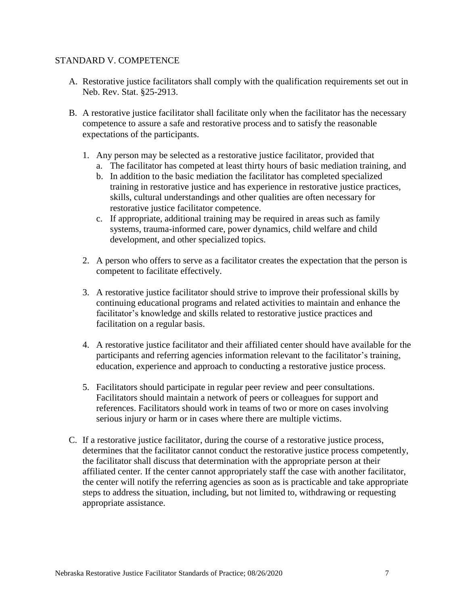### STANDARD V. COMPETENCE

- A. Restorative justice facilitators shall comply with the qualification requirements set out in Neb. Rev. Stat. §25-2913.
- B. A restorative justice facilitator shall facilitate only when the facilitator has the necessary competence to assure a safe and restorative process and to satisfy the reasonable expectations of the participants.
	- 1. Any person may be selected as a restorative justice facilitator, provided that
		- a. The facilitator has competed at least thirty hours of basic mediation training, and
		- b. In addition to the basic mediation the facilitator has completed specialized training in restorative justice and has experience in restorative justice practices, skills, cultural understandings and other qualities are often necessary for restorative justice facilitator competence.
		- c. If appropriate, additional training may be required in areas such as family systems, trauma-informed care, power dynamics, child welfare and child development, and other specialized topics.
	- 2. A person who offers to serve as a facilitator creates the expectation that the person is competent to facilitate effectively.
	- 3. A restorative justice facilitator should strive to improve their professional skills by continuing educational programs and related activities to maintain and enhance the facilitator's knowledge and skills related to restorative justice practices and facilitation on a regular basis.
	- 4. A restorative justice facilitator and their affiliated center should have available for the participants and referring agencies information relevant to the facilitator's training, education, experience and approach to conducting a restorative justice process.
	- 5. Facilitators should participate in regular peer review and peer consultations. Facilitators should maintain a network of peers or colleagues for support and references. Facilitators should work in teams of two or more on cases involving serious injury or harm or in cases where there are multiple victims.
- C. If a restorative justice facilitator, during the course of a restorative justice process, determines that the facilitator cannot conduct the restorative justice process competently, the facilitator shall discuss that determination with the appropriate person at their affiliated center. If the center cannot appropriately staff the case with another facilitator, the center will notify the referring agencies as soon as is practicable and take appropriate steps to address the situation, including, but not limited to, withdrawing or requesting appropriate assistance.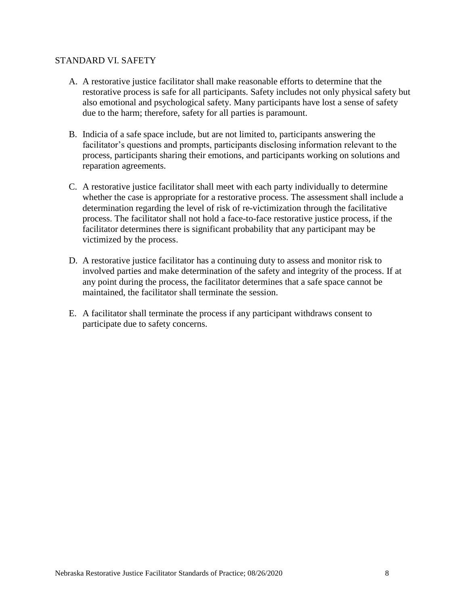### STANDARD VI. SAFETY

- A. A restorative justice facilitator shall make reasonable efforts to determine that the restorative process is safe for all participants. Safety includes not only physical safety but also emotional and psychological safety. Many participants have lost a sense of safety due to the harm; therefore, safety for all parties is paramount.
- B. Indicia of a safe space include, but are not limited to, participants answering the facilitator's questions and prompts, participants disclosing information relevant to the process, participants sharing their emotions, and participants working on solutions and reparation agreements.
- C. A restorative justice facilitator shall meet with each party individually to determine whether the case is appropriate for a restorative process. The assessment shall include a determination regarding the level of risk of re-victimization through the facilitative process. The facilitator shall not hold a face-to-face restorative justice process, if the facilitator determines there is significant probability that any participant may be victimized by the process.
- D. A restorative justice facilitator has a continuing duty to assess and monitor risk to involved parties and make determination of the safety and integrity of the process. If at any point during the process, the facilitator determines that a safe space cannot be maintained, the facilitator shall terminate the session.
- E. A facilitator shall terminate the process if any participant withdraws consent to participate due to safety concerns.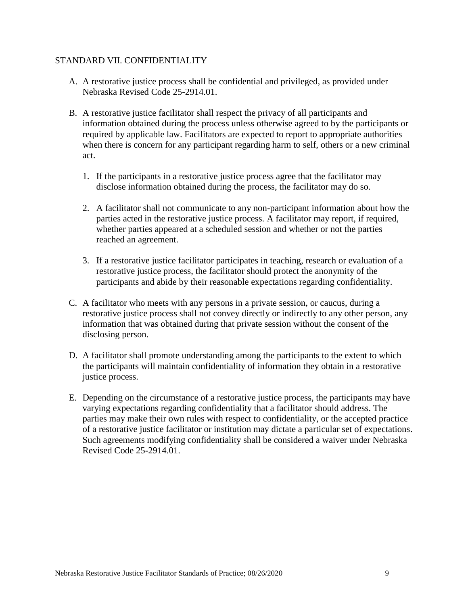# STANDARD VII. CONFIDENTIALITY

- A. A restorative justice process shall be confidential and privileged, as provided under Nebraska Revised Code 25-2914.01.
- B. A restorative justice facilitator shall respect the privacy of all participants and information obtained during the process unless otherwise agreed to by the participants or required by applicable law. Facilitators are expected to report to appropriate authorities when there is concern for any participant regarding harm to self, others or a new criminal act.
	- 1. If the participants in a restorative justice process agree that the facilitator may disclose information obtained during the process, the facilitator may do so.
	- 2. A facilitator shall not communicate to any non-participant information about how the parties acted in the restorative justice process. A facilitator may report, if required, whether parties appeared at a scheduled session and whether or not the parties reached an agreement.
	- 3. If a restorative justice facilitator participates in teaching, research or evaluation of a restorative justice process, the facilitator should protect the anonymity of the participants and abide by their reasonable expectations regarding confidentiality.
- C. A facilitator who meets with any persons in a private session, or caucus, during a restorative justice process shall not convey directly or indirectly to any other person, any information that was obtained during that private session without the consent of the disclosing person.
- D. A facilitator shall promote understanding among the participants to the extent to which the participants will maintain confidentiality of information they obtain in a restorative justice process.
- E. Depending on the circumstance of a restorative justice process, the participants may have varying expectations regarding confidentiality that a facilitator should address. The parties may make their own rules with respect to confidentiality, or the accepted practice of a restorative justice facilitator or institution may dictate a particular set of expectations. Such agreements modifying confidentiality shall be considered a waiver under Nebraska Revised Code 25-2914.01.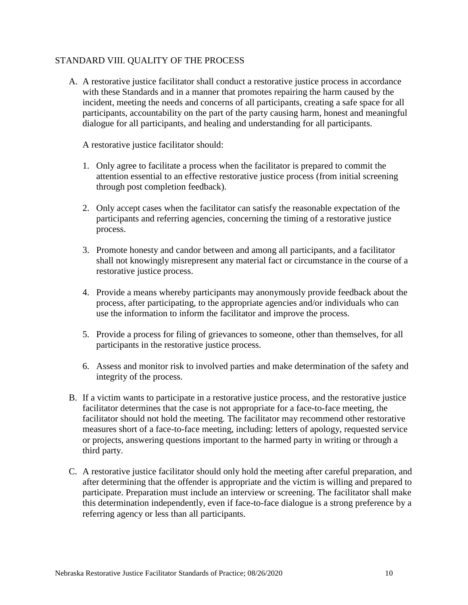# STANDARD VIII. QUALITY OF THE PROCESS

A. A restorative justice facilitator shall conduct a restorative justice process in accordance with these Standards and in a manner that promotes repairing the harm caused by the incident, meeting the needs and concerns of all participants, creating a safe space for all participants, accountability on the part of the party causing harm, honest and meaningful dialogue for all participants, and healing and understanding for all participants.

A restorative justice facilitator should:

- 1. Only agree to facilitate a process when the facilitator is prepared to commit the attention essential to an effective restorative justice process (from initial screening through post completion feedback).
- 2. Only accept cases when the facilitator can satisfy the reasonable expectation of the participants and referring agencies, concerning the timing of a restorative justice process.
- 3. Promote honesty and candor between and among all participants, and a facilitator shall not knowingly misrepresent any material fact or circumstance in the course of a restorative justice process.
- 4. Provide a means whereby participants may anonymously provide feedback about the process, after participating, to the appropriate agencies and/or individuals who can use the information to inform the facilitator and improve the process.
- 5. Provide a process for filing of grievances to someone, other than themselves, for all participants in the restorative justice process.
- 6. Assess and monitor risk to involved parties and make determination of the safety and integrity of the process.
- B. If a victim wants to participate in a restorative justice process, and the restorative justice facilitator determines that the case is not appropriate for a face-to-face meeting, the facilitator should not hold the meeting. The facilitator may recommend other restorative measures short of a face-to-face meeting, including: letters of apology, requested service or projects, answering questions important to the harmed party in writing or through a third party.
- C. A restorative justice facilitator should only hold the meeting after careful preparation, and after determining that the offender is appropriate and the victim is willing and prepared to participate. Preparation must include an interview or screening. The facilitator shall make this determination independently, even if face-to-face dialogue is a strong preference by a referring agency or less than all participants.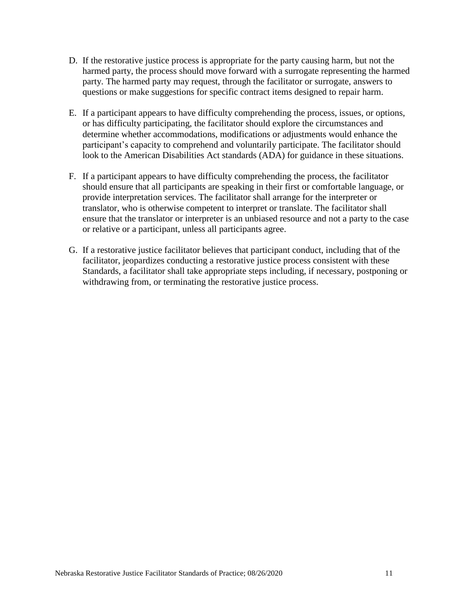- D. If the restorative justice process is appropriate for the party causing harm, but not the harmed party, the process should move forward with a surrogate representing the harmed party. The harmed party may request, through the facilitator or surrogate, answers to questions or make suggestions for specific contract items designed to repair harm.
- E. If a participant appears to have difficulty comprehending the process, issues, or options, or has difficulty participating, the facilitator should explore the circumstances and determine whether accommodations, modifications or adjustments would enhance the participant's capacity to comprehend and voluntarily participate. The facilitator should look to the American Disabilities Act standards (ADA) for guidance in these situations.
- F. If a participant appears to have difficulty comprehending the process, the facilitator should ensure that all participants are speaking in their first or comfortable language, or provide interpretation services. The facilitator shall arrange for the interpreter or translator, who is otherwise competent to interpret or translate. The facilitator shall ensure that the translator or interpreter is an unbiased resource and not a party to the case or relative or a participant, unless all participants agree.
- G. If a restorative justice facilitator believes that participant conduct, including that of the facilitator, jeopardizes conducting a restorative justice process consistent with these Standards, a facilitator shall take appropriate steps including, if necessary, postponing or withdrawing from, or terminating the restorative justice process.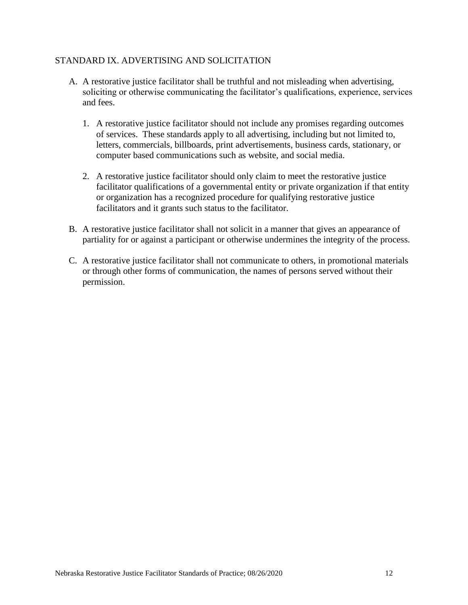# STANDARD IX. ADVERTISING AND SOLICITATION

- A. A restorative justice facilitator shall be truthful and not misleading when advertising, soliciting or otherwise communicating the facilitator's qualifications, experience, services and fees.
	- 1. A restorative justice facilitator should not include any promises regarding outcomes of services. These standards apply to all advertising, including but not limited to, letters, commercials, billboards, print advertisements, business cards, stationary, or computer based communications such as website, and social media.
	- 2. A restorative justice facilitator should only claim to meet the restorative justice facilitator qualifications of a governmental entity or private organization if that entity or organization has a recognized procedure for qualifying restorative justice facilitators and it grants such status to the facilitator.
- B. A restorative justice facilitator shall not solicit in a manner that gives an appearance of partiality for or against a participant or otherwise undermines the integrity of the process.
- C. A restorative justice facilitator shall not communicate to others, in promotional materials or through other forms of communication, the names of persons served without their permission.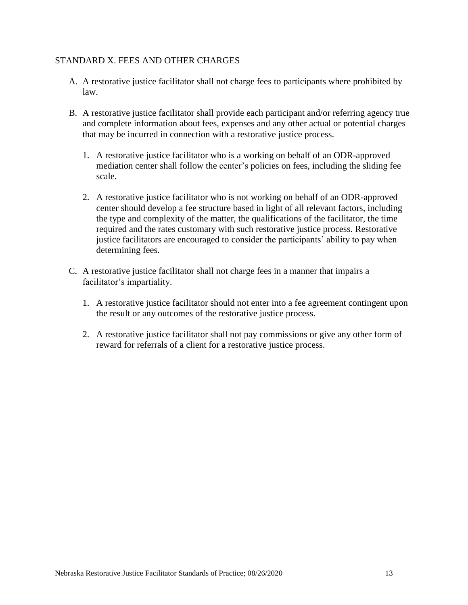# STANDARD X. FEES AND OTHER CHARGES

- A. A restorative justice facilitator shall not charge fees to participants where prohibited by law.
- B. A restorative justice facilitator shall provide each participant and/or referring agency true and complete information about fees, expenses and any other actual or potential charges that may be incurred in connection with a restorative justice process.
	- 1. A restorative justice facilitator who is a working on behalf of an ODR-approved mediation center shall follow the center's policies on fees, including the sliding fee scale.
	- 2. A restorative justice facilitator who is not working on behalf of an ODR-approved center should develop a fee structure based in light of all relevant factors, including the type and complexity of the matter, the qualifications of the facilitator, the time required and the rates customary with such restorative justice process. Restorative justice facilitators are encouraged to consider the participants' ability to pay when determining fees.
- C. A restorative justice facilitator shall not charge fees in a manner that impairs a facilitator's impartiality.
	- 1. A restorative justice facilitator should not enter into a fee agreement contingent upon the result or any outcomes of the restorative justice process.
	- 2. A restorative justice facilitator shall not pay commissions or give any other form of reward for referrals of a client for a restorative justice process.